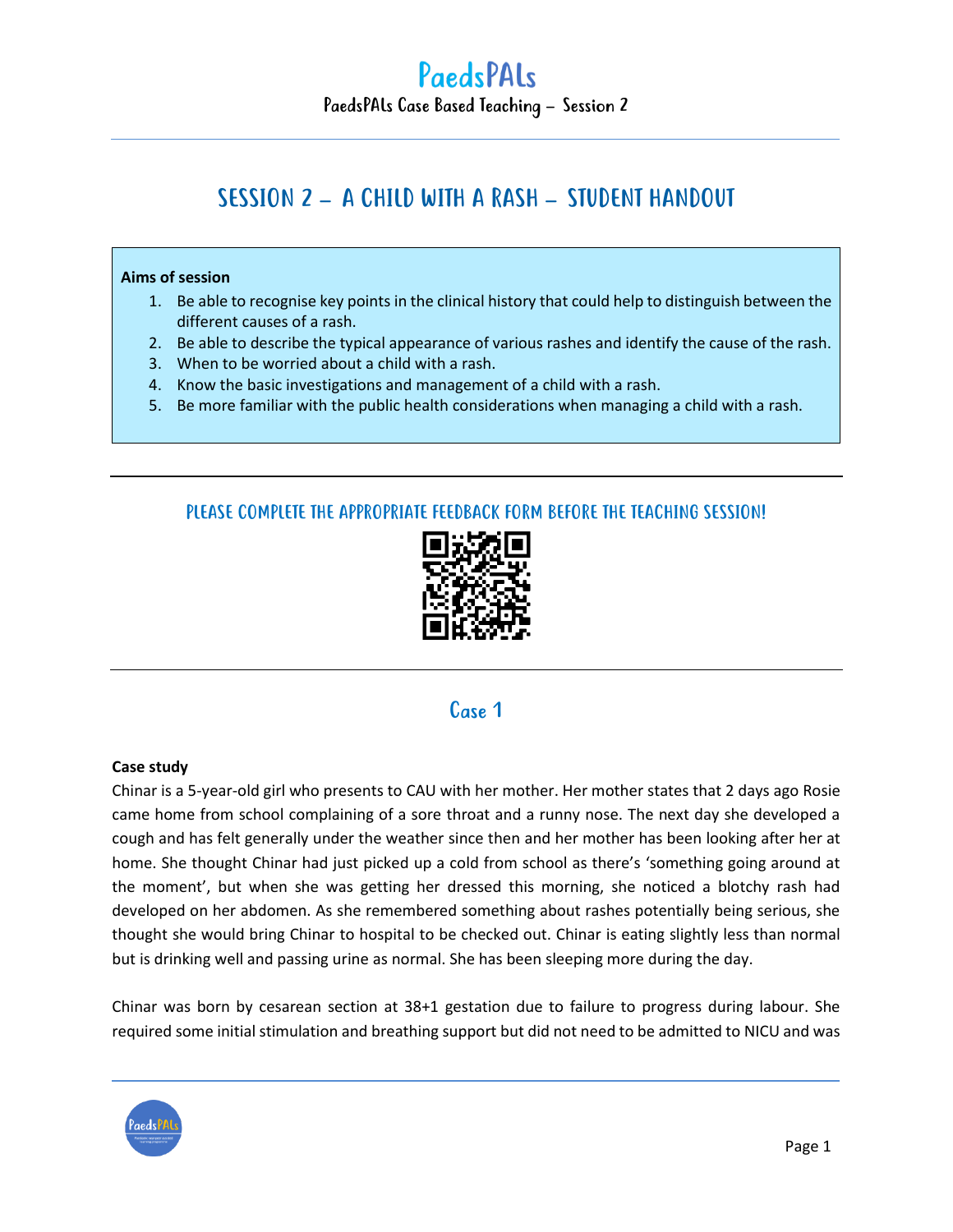# SESSION 2 – A CHILD WITH A RASH – STUDENT HANDOUT

#### **Aims of session**

- 1. Be able to recognise key points in the clinical history that could help to distinguish between the different causes of a rash.
- 2. Be able to describe the typical appearance of various rashes and identify the cause of the rash.
- 3. When to be worried about a child with a rash.
- 4. Know the basic investigations and management of a child with a rash.
- 5. Be more familiar with the public health considerations when managing a child with a rash.

### PLEASE COMPLETE THE APPROPRIATE FEEDBACK FORM BEFORE THE TEACHING SESSION!



### Case 1

#### **Case study**

Chinar is a 5-year-old girl who presents to CAU with her mother. Her mother states that 2 days ago Rosie came home from school complaining of a sore throat and a runny nose. The next day she developed a cough and has felt generally under the weather since then and her mother has been looking after her at home. She thought Chinar had just picked up a cold from school as there's 'something going around at the moment', but when she was getting her dressed this morning, she noticed a blotchy rash had developed on her abdomen. As she remembered something about rashes potentially being serious, she thought she would bring Chinar to hospital to be checked out. Chinar is eating slightly less than normal but is drinking well and passing urine as normal. She has been sleeping more during the day.

Chinar was born by cesarean section at 38+1 gestation due to failure to progress during labour. She required some initial stimulation and breathing support but did not need to be admitted to NICU and was

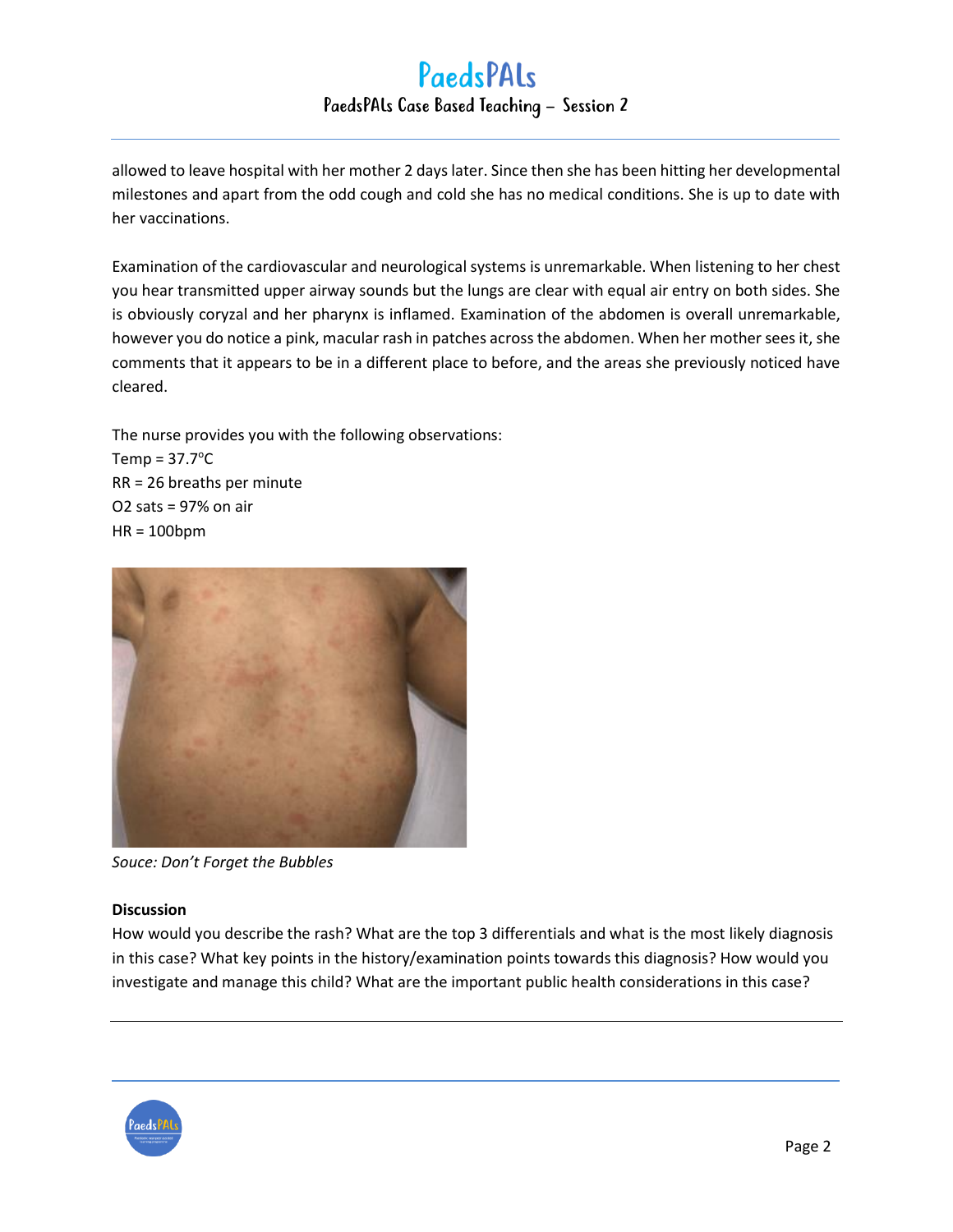allowed to leave hospital with her mother 2 days later. Since then she has been hitting her developmental milestones and apart from the odd cough and cold she has no medical conditions. She is up to date with her vaccinations.

Examination of the cardiovascular and neurological systems is unremarkable. When listening to her chest you hear transmitted upper airway sounds but the lungs are clear with equal air entry on both sides. She is obviously coryzal and her pharynx is inflamed. Examination of the abdomen is overall unremarkable, however you do notice a pink, macular rash in patches across the abdomen. When her mother sees it, she comments that it appears to be in a different place to before, and the areas she previously noticed have cleared.

The nurse provides you with the following observations: Temp =  $37.7^{\circ}$ C RR = 26 breaths per minute O2 sats = 97% on air HR = 100bpm



*Souce: Don't Forget the Bubbles*

#### **Discussion**

How would you describe the rash? What are the top 3 differentials and what is the most likely diagnosis in this case? What key points in the history/examination points towards this diagnosis? How would you investigate and manage this child? What are the important public health considerations in this case?

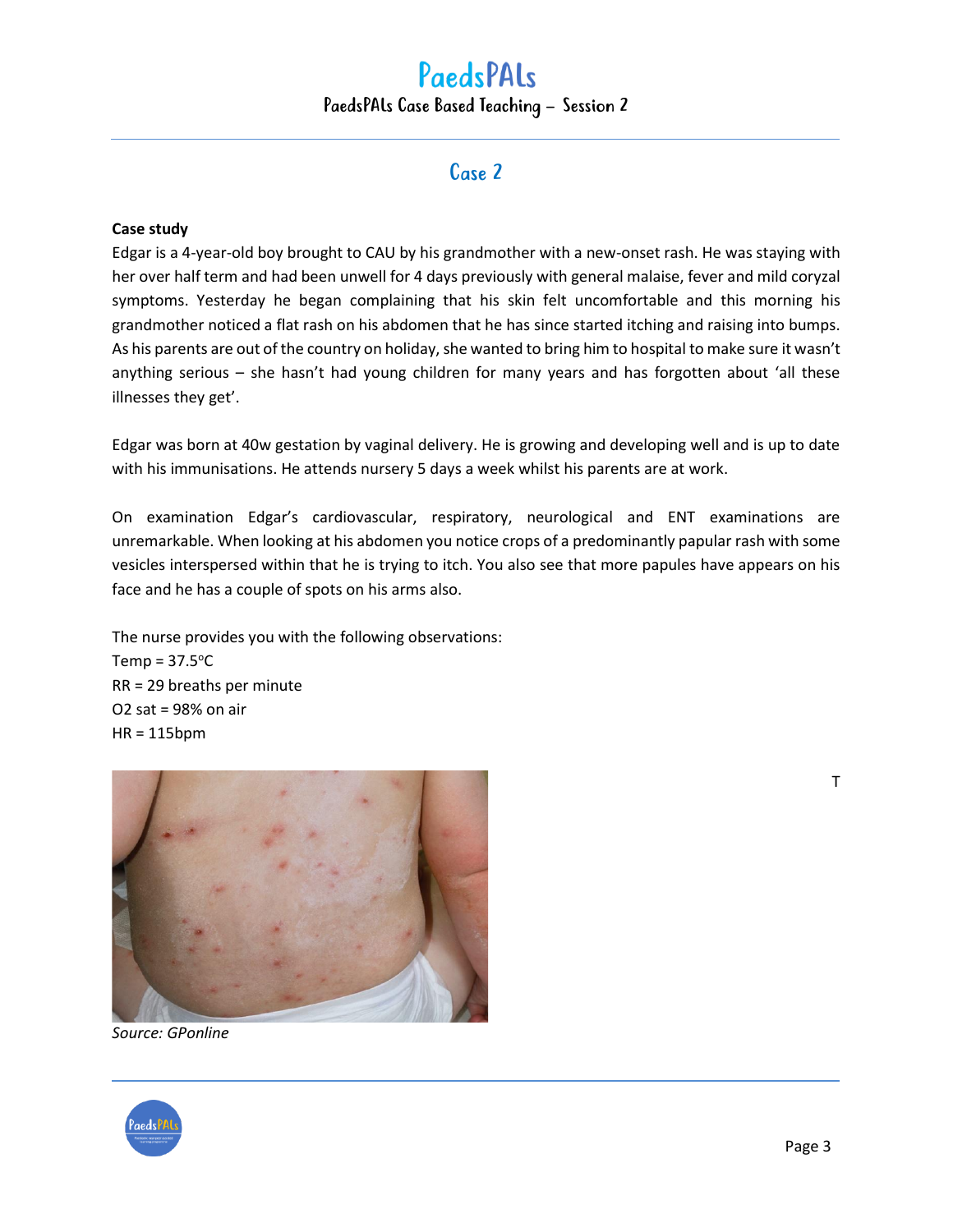### Case 2

#### **Case study**

Edgar is a 4-year-old boy brought to CAU by his grandmother with a new-onset rash. He was staying with her over half term and had been unwell for 4 days previously with general malaise, fever and mild coryzal symptoms. Yesterday he began complaining that his skin felt uncomfortable and this morning his grandmother noticed a flat rash on his abdomen that he has since started itching and raising into bumps. As his parents are out of the country on holiday, she wanted to bring him to hospital to make sure it wasn't anything serious – she hasn't had young children for many years and has forgotten about 'all these illnesses they get'.

Edgar was born at 40w gestation by vaginal delivery. He is growing and developing well and is up to date with his immunisations. He attends nursery 5 days a week whilst his parents are at work.

On examination Edgar's cardiovascular, respiratory, neurological and ENT examinations are unremarkable. When looking at his abdomen you notice crops of a predominantly papular rash with some vesicles interspersed within that he is trying to itch. You also see that more papules have appears on his face and he has a couple of spots on his arms also.

The nurse provides you with the following observations: Temp =  $37.5^{\circ}$ C RR = 29 breaths per minute O2 sat = 98% on air HR = 115bpm



*Source: GPonline*



T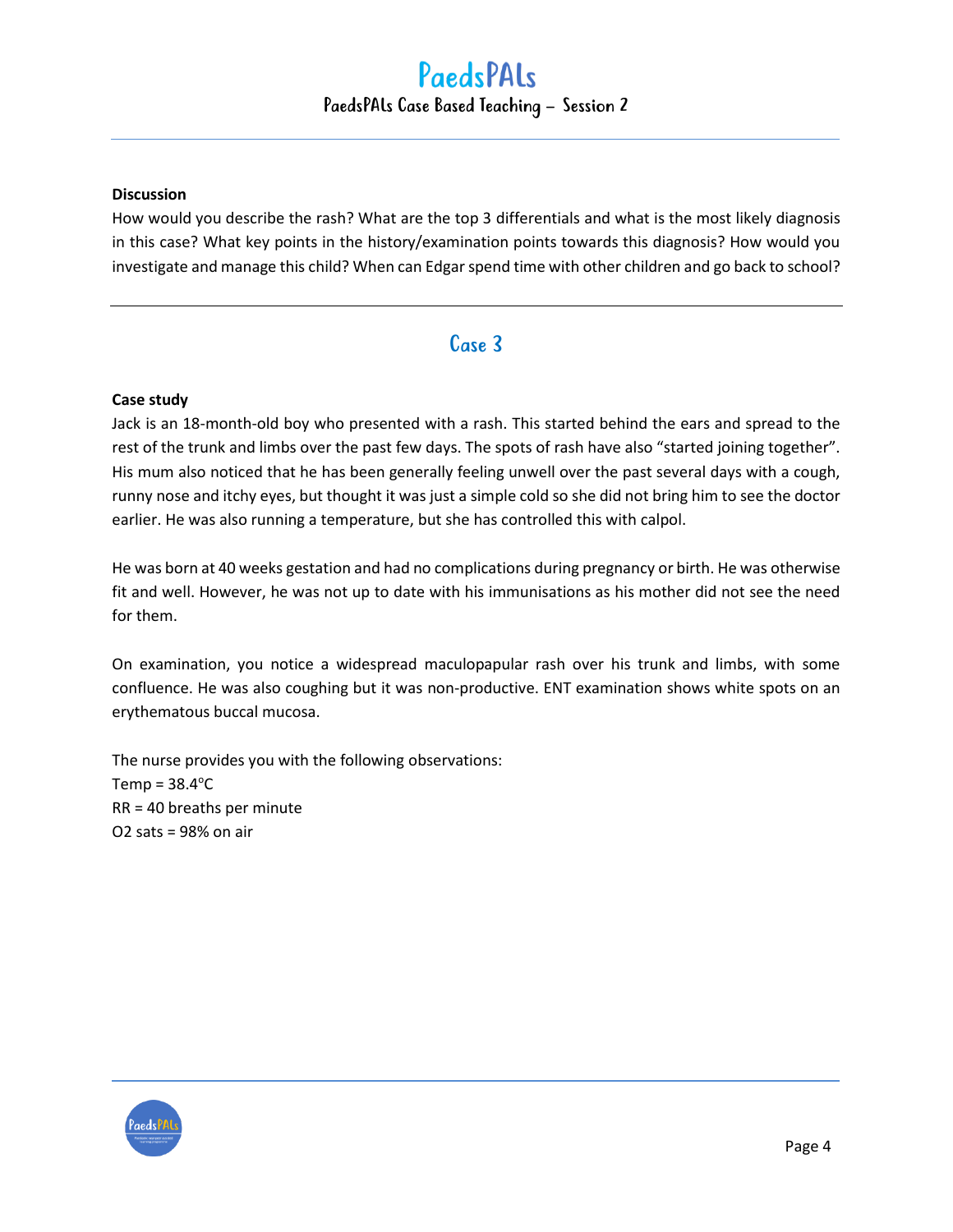#### **Discussion**

How would you describe the rash? What are the top 3 differentials and what is the most likely diagnosis in this case? What key points in the history/examination points towards this diagnosis? How would you investigate and manage this child? When can Edgar spend time with other children and go back to school?

### Case 3

#### **Case study**

Jack is an 18-month-old boy who presented with a rash. This started behind the ears and spread to the rest of the trunk and limbs over the past few days. The spots of rash have also "started joining together". His mum also noticed that he has been generally feeling unwell over the past several days with a cough, runny nose and itchy eyes, but thought it was just a simple cold so she did not bring him to see the doctor earlier. He was also running a temperature, but she has controlled this with calpol.

He was born at 40 weeks gestation and had no complications during pregnancy or birth. He was otherwise fit and well. However, he was not up to date with his immunisations as his mother did not see the need for them.

On examination, you notice a widespread maculopapular rash over his trunk and limbs, with some confluence. He was also coughing but it was non-productive. ENT examination shows white spots on an erythematous buccal mucosa.

The nurse provides you with the following observations: Temp =  $38.4^{\circ}$ C RR = 40 breaths per minute O2 sats = 98% on air